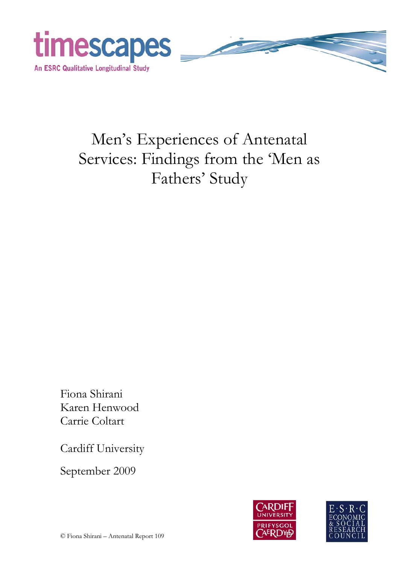

# Men's Experiences of Antenatal Services: Findings from the 'Men as Fathers' Study

Fiona Shirani Karen Henwood Carrie Coltart

Cardiff University

September 2009



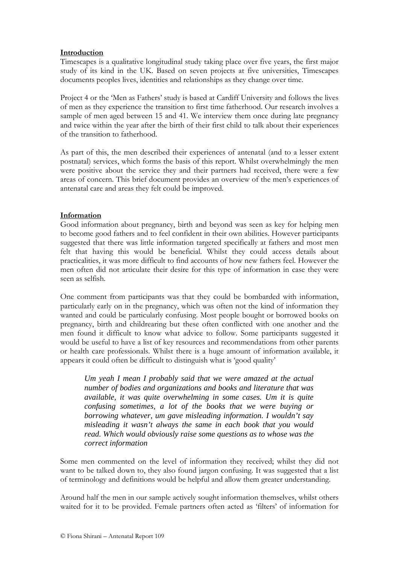## **Introduction**

Timescapes is a qualitative longitudinal study taking place over five years, the first major study of its kind in the UK. Based on seven projects at five universities, Timescapes documents peoples lives, identities and relationships as they change over time.

Project 4 or the 'Men as Fathers' study is based at Cardiff University and follows the lives of men as they experience the transition to first time fatherhood. Our research involves a sample of men aged between 15 and 41. We interview them once during late pregnancy and twice within the year after the birth of their first child to talk about their experiences of the transition to fatherhood.

As part of this, the men described their experiences of antenatal (and to a lesser extent postnatal) services, which forms the basis of this report. Whilst overwhelmingly the men were positive about the service they and their partners had received, there were a few areas of concern. This brief document provides an overview of the men's experiences of antenatal care and areas they felt could be improved.

## **Information**

Good information about pregnancy, birth and beyond was seen as key for helping men to become good fathers and to feel confident in their own abilities. However participants suggested that there was little information targeted specifically at fathers and most men felt that having this would be beneficial. Whilst they could access details about practicalities, it was more difficult to find accounts of how new fathers feel. However the men often did not articulate their desire for this type of information in case they were seen as selfish.

One comment from participants was that they could be bombarded with information, particularly early on in the pregnancy, which was often not the kind of information they wanted and could be particularly confusing. Most people bought or borrowed books on pregnancy, birth and childrearing but these often conflicted with one another and the men found it difficult to know what advice to follow. Some participants suggested it would be useful to have a list of key resources and recommendations from other parents or health care professionals. Whilst there is a huge amount of information available, it appears it could often be difficult to distinguish what is 'good quality'

*Um yeah I mean I probably said that we were amazed at the actual number of bodies and organizations and books and literature that was available, it was quite overwhelming in some cases. Um it is quite confusing sometimes, a lot of the books that we were buying or borrowing whatever, um gave misleading information. I wouldn't say misleading it wasn't always the same in each book that you would read. Which would obviously raise some questions as to whose was the correct information* 

Some men commented on the level of information they received; whilst they did not want to be talked down to, they also found jargon confusing. It was suggested that a list of terminology and definitions would be helpful and allow them greater understanding.

Around half the men in our sample actively sought information themselves, whilst others waited for it to be provided. Female partners often acted as 'filters' of information for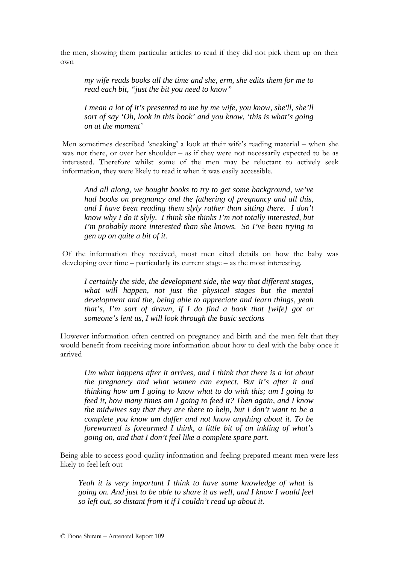the men, showing them particular articles to read if they did not pick them up on their own

*my wife reads books all the time and she, erm, she edits them for me to read each bit, "just the bit you need to know"* 

*I* mean a lot of it's presented to me by me wife, you know, she'll, she'll *sort of say 'Oh, look in this book' and you know, 'this is what's going on at the moment'* 

Men sometimes described 'sneaking' a look at their wife's reading material – when she was not there, or over her shoulder – as if they were not necessarily expected to be as interested. Therefore whilst some of the men may be reluctant to actively seek information, they were likely to read it when it was easily accessible.

*And all along, we bought books to try to get some background, we've had books on pregnancy and the fathering of pregnancy and all this, and I have been reading them slyly rather than sitting there. I don't know why I do it slyly. I think she thinks I'm not totally interested, but I'm probably more interested than she knows. So I've been trying to gen up on quite a bit of it.* 

Of the information they received, most men cited details on how the baby was developing over time – particularly its current stage – as the most interesting.

*I certainly the side, the development side, the way that different stages, what will happen, not just the physical stages but the mental development and the, being able to appreciate and learn things, yeah that's, I'm sort of drawn, if I do find a book that [wife] got or someone's lent us, I will look through the basic sections* 

However information often centred on pregnancy and birth and the men felt that they would benefit from receiving more information about how to deal with the baby once it arrived

*Um what happens after it arrives, and I think that there is a lot about the pregnancy and what women can expect. But it's after it and thinking how am I going to know what to do with this; am I going to feed it, how many times am I going to feed it? Then again, and I know the midwives say that they are there to help, but I don't want to be a complete you know um duffer and not know anything about it. To be forewarned is forearmed I think, a little bit of an inkling of what's going on, and that I don't feel like a complete spare part*.

Being able to access good quality information and feeling prepared meant men were less likely to feel left out

*Yeah it is very important I think to have some knowledge of what is going on. And just to be able to share it as well, and I know I would feel so left out, so distant from it if I couldn't read up about it.*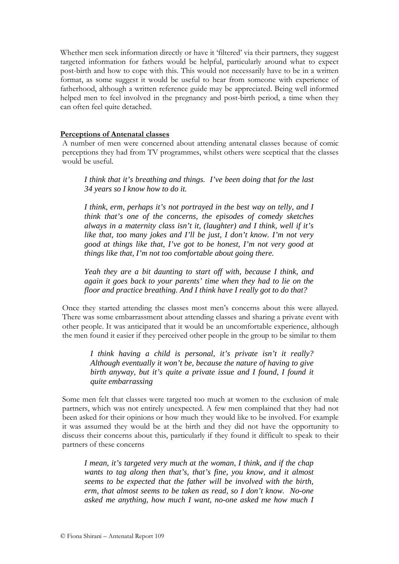Whether men seek information directly or have it 'filtered' via their partners, they suggest targeted information for fathers would be helpful, particularly around what to expect post-birth and how to cope with this. This would not necessarily have to be in a written format, as some suggest it would be useful to hear from someone with experience of fatherhood, although a written reference guide may be appreciated. Being well informed helped men to feel involved in the pregnancy and post-birth period, a time when they can often feel quite detached.

## **Perceptions of Antenatal classes**

A number of men were concerned about attending antenatal classes because of comic perceptions they had from TV programmes, whilst others were sceptical that the classes would be useful.

*I think that it's breathing and things. I've been doing that for the last 34 years so I know how to do it.* 

*I think, erm, perhaps it's not portrayed in the best way on telly, and I think that's one of the concerns, the episodes of comedy sketches always in a maternity class isn't it, (laughter) and I think, well if it's like that, too many jokes and I'll be just, I don't know. I'm not very good at things like that, I've got to be honest, I'm not very good at things like that, I'm not too comfortable about going there.* 

*Yeah they are a bit daunting to start off with, because I think, and again it goes back to your parents' time when they had to lie on the floor and practice breathing. And I think have I really got to do that?* 

Once they started attending the classes most men's concerns about this were allayed. There was some embarrassment about attending classes and sharing a private event with other people. It was anticipated that it would be an uncomfortable experience, although the men found it easier if they perceived other people in the group to be similar to them

*I think having a child is personal, it's private isn't it really? Although eventually it won't be, because the nature of having to give birth anyway, but it's quite a private issue and I found, I found it quite embarrassing* 

Some men felt that classes were targeted too much at women to the exclusion of male partners, which was not entirely unexpected. A few men complained that they had not been asked for their opinions or how much they would like to be involved. For example it was assumed they would be at the birth and they did not have the opportunity to discuss their concerns about this, particularly if they found it difficult to speak to their partners of these concerns

*I mean, it's targeted very much at the woman, I think, and if the chap wants to tag along then that's, that's fine, you know, and it almost seems to be expected that the father will be involved with the birth, erm, that almost seems to be taken as read, so I don't know. No-one asked me anything, how much I want, no-one asked me how much I*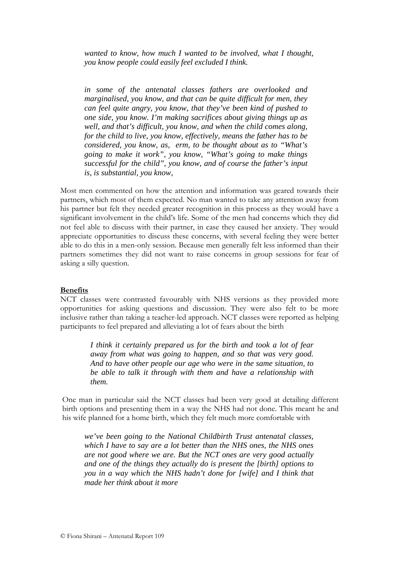*wanted to know, how much I wanted to be involved, what I thought, you know people could easily feel excluded I think.* 

*in some of the antenatal classes fathers are overlooked and marginalised, you know, and that can be quite difficult for men, they can feel quite angry, you know, that they've been kind of pushed to one side, you know. I'm making sacrifices about giving things up as well, and that's difficult, you know, and when the child comes along, for the child to live, you know, effectively, means the father has to be considered, you know, as, erm, to be thought about as to "What's going to make it work", you know, "What's going to make things successful for the child", you know, and of course the father's input is, is substantial, you know,* 

Most men commented on how the attention and information was geared towards their partners, which most of them expected. No man wanted to take any attention away from his partner but felt they needed greater recognition in this process as they would have a significant involvement in the child's life. Some of the men had concerns which they did not feel able to discuss with their partner, in case they caused her anxiety. They would appreciate opportunities to discuss these concerns, with several feeling they were better able to do this in a men-only session. Because men generally felt less informed than their partners sometimes they did not want to raise concerns in group sessions for fear of asking a silly question.

### **Benefits**

NCT classes were contrasted favourably with NHS versions as they provided more opportunities for asking questions and discussion. They were also felt to be more inclusive rather than taking a teacher-led approach. NCT classes were reported as helping participants to feel prepared and alleviating a lot of fears about the birth

> *I think it certainly prepared us for the birth and took a lot of fear away from what was going to happen, and so that was very good. And to have other people our age who were in the same situation, to be able to talk it through with them and have a relationship with them.*

One man in particular said the NCT classes had been very good at detailing different birth options and presenting them in a way the NHS had not done. This meant he and his wife planned for a home birth, which they felt much more comfortable with

*we've been going to the National Childbirth Trust antenatal classes, which I have to say are a lot better than the NHS ones, the NHS ones are not good where we are. But the NCT ones are very good actually and one of the things they actually do is present the [birth] options to you in a way which the NHS hadn't done for [wife] and I think that made her think about it more*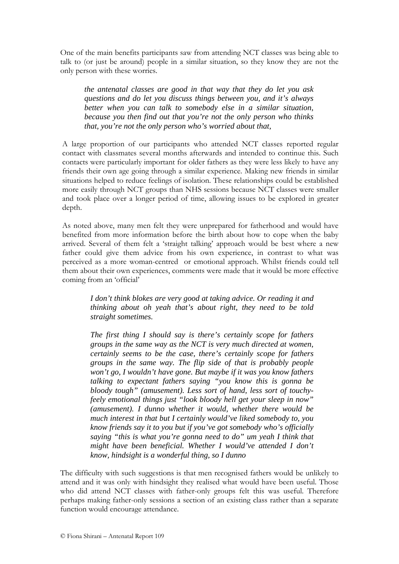One of the main benefits participants saw from attending NCT classes was being able to talk to (or just be around) people in a similar situation, so they know they are not the only person with these worries.

*the antenatal classes are good in that way that they do let you ask questions and do let you discuss things between you, and it's always better when you can talk to somebody else in a similar situation, because you then find out that you're not the only person who thinks that, you're not the only person who's worried about that,* 

A large proportion of our participants who attended NCT classes reported regular contact with classmates several months afterwards and intended to continue this. Such contacts were particularly important for older fathers as they were less likely to have any friends their own age going through a similar experience. Making new friends in similar situations helped to reduce feelings of isolation. These relationships could be established more easily through NCT groups than NHS sessions because NCT classes were smaller and took place over a longer period of time, allowing issues to be explored in greater depth.

As noted above, many men felt they were unprepared for fatherhood and would have benefited from more information before the birth about how to cope when the baby arrived. Several of them felt a 'straight talking' approach would be best where a new father could give them advice from his own experience, in contrast to what was perceived as a more woman-centred or emotional approach. Whilst friends could tell them about their own experiences, comments were made that it would be more effective coming from an 'official'

*I don't think blokes are very good at taking advice. Or reading it and thinking about oh yeah that's about right, they need to be told straight sometimes.*

*The first thing I should say is there's certainly scope for fathers groups in the same way as the NCT is very much directed at women, certainly seems to be the case, there's certainly scope for fathers groups in the same way. The flip side of that is probably people won't go, I wouldn't have gone. But maybe if it was you know fathers talking to expectant fathers saying "you know this is gonna be bloody tough" (amusement). Less sort of hand, less sort of touchyfeely emotional things just "look bloody hell get your sleep in now" (amusement). I dunno whether it would, whether there would be much interest in that but I certainly would've liked somebody to, you know friends say it to you but if you've got somebody who's officially saying "this is what you're gonna need to do" um yeah I think that might have been beneficial. Whether I would've attended I don't know, hindsight is a wonderful thing, so I dunno*

The difficulty with such suggestions is that men recognised fathers would be unlikely to attend and it was only with hindsight they realised what would have been useful. Those who did attend NCT classes with father-only groups felt this was useful. Therefore perhaps making father-only sessions a section of an existing class rather than a separate function would encourage attendance.